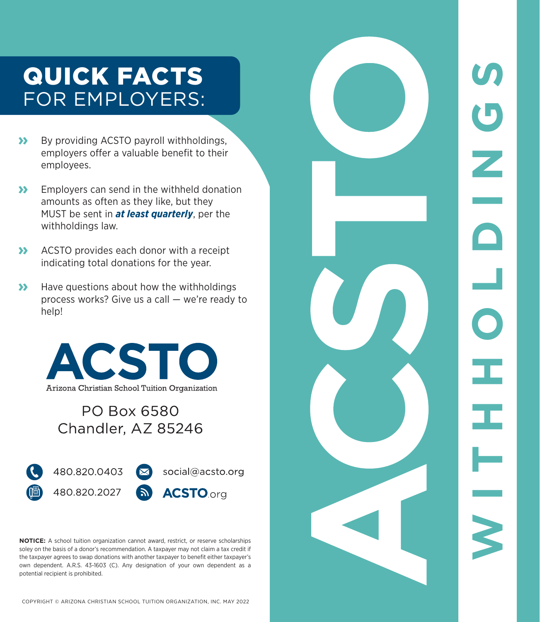## QUICK FACTS FOR EMPLOYERS:

- **»** By providing ACSTO payroll withholdings, employers offer a valuable benefit to their employees.
- **»** Employers can send in the withheld donation amounts as often as they like, but they MUST be sent in *at least quarterly*, per the withholdings law.
- **»** ACSTO provides each donor with a receipt indicating total donations for the year.
- **»** Have questions about how the withholdings process works? Give us a call — we're ready to help!



#### **PO Box 6580** Chandler, AZ 85246



**NOTICE:** A school tuition organization cannot award, restrict, or reserve scholarships soley on the basis of a donor's recommendation. A taxpayer may not claim a tax credit if the taxpayer agrees to swap donations with another taxpayer to benefit either taxpayer's own dependent. A.R.S. 43-1603 (C). Any designation of your own dependent as a potential recipient is prohibited.